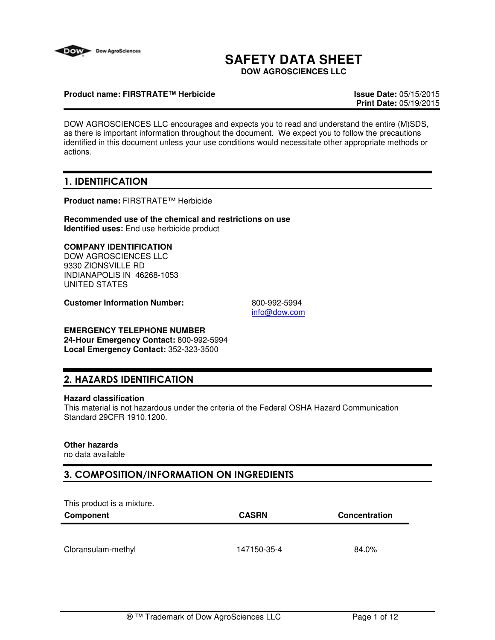

# **SAFETY DATA SHEET**

**DOW AGROSCIENCES LLC**

#### **Product name: FIRSTRATE™ Herbicide Issue Date:** 05/15/2015

**Print Date:** 05/19/2015

DOW AGROSCIENCES LLC encourages and expects you to read and understand the entire (M)SDS, as there is important information throughout the document. We expect you to follow the precautions identified in this document unless your use conditions would necessitate other appropriate methods or actions.

# 1. IDENTIFICATION

**Product name:** FIRSTRATE™ Herbicide

**Recommended use of the chemical and restrictions on use Identified uses:** End use herbicide product

### **COMPANY IDENTIFICATION**

DOW AGROSCIENCES LLC 9330 ZIONSVILLE RD INDIANAPOLIS IN 46268-1053 UNITED STATES

**Customer Information Number:** 800-992-5994

info@dow.com

### **EMERGENCY TELEPHONE NUMBER**

**24-Hour Emergency Contact:** 800-992-5994 **Local Emergency Contact:** 352-323-3500

## 2. HAZARDS IDENTIFICATION

#### **Hazard classification**

This material is not hazardous under the criteria of the Federal OSHA Hazard Communication Standard 29CFR 1910.1200.

### **Other hazards**

no data available

## 3. COMPOSITION/INFORMATION ON INGREDIENTS

This product is a mixture.

| Component          | <b>CASRN</b> | <b>Concentration</b> |
|--------------------|--------------|----------------------|
|                    |              |                      |
| Cloransulam-methyl | 147150-35-4  | 84.0%                |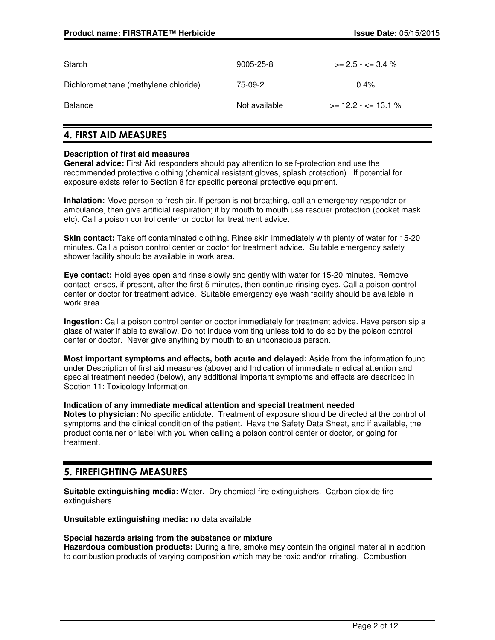| Starch                               | 9005-25-8     | $\ge$ 2.5 - $\lt$ 3.4 %   |
|--------------------------------------|---------------|---------------------------|
| Dichloromethane (methylene chloride) | 75-09-2       | $0.4\%$                   |
| Balance                              | Not available | $\ge$ 12.2 - $\le$ 13.1 % |

# 4. FIRST AID MEASURES

#### **Description of first aid measures**

**General advice:** First Aid responders should pay attention to self-protection and use the recommended protective clothing (chemical resistant gloves, splash protection). If potential for exposure exists refer to Section 8 for specific personal protective equipment.

**Inhalation:** Move person to fresh air. If person is not breathing, call an emergency responder or ambulance, then give artificial respiration; if by mouth to mouth use rescuer protection (pocket mask etc). Call a poison control center or doctor for treatment advice.

**Skin contact:** Take off contaminated clothing. Rinse skin immediately with plenty of water for 15-20 minutes. Call a poison control center or doctor for treatment advice. Suitable emergency safety shower facility should be available in work area.

**Eye contact:** Hold eyes open and rinse slowly and gently with water for 15-20 minutes. Remove contact lenses, if present, after the first 5 minutes, then continue rinsing eyes. Call a poison control center or doctor for treatment advice. Suitable emergency eye wash facility should be available in work area.

**Ingestion:** Call a poison control center or doctor immediately for treatment advice. Have person sip a glass of water if able to swallow. Do not induce vomiting unless told to do so by the poison control center or doctor. Never give anything by mouth to an unconscious person.

**Most important symptoms and effects, both acute and delayed:** Aside from the information found under Description of first aid measures (above) and Indication of immediate medical attention and special treatment needed (below), any additional important symptoms and effects are described in Section 11: Toxicology Information.

#### **Indication of any immediate medical attention and special treatment needed**

**Notes to physician:** No specific antidote. Treatment of exposure should be directed at the control of symptoms and the clinical condition of the patient. Have the Safety Data Sheet, and if available, the product container or label with you when calling a poison control center or doctor, or going for treatment.

## 5. FIREFIGHTING MEASURES

**Suitable extinguishing media:** Water. Dry chemical fire extinguishers. Carbon dioxide fire extinguishers.

**Unsuitable extinguishing media:** no data available

#### **Special hazards arising from the substance or mixture**

**Hazardous combustion products:** During a fire, smoke may contain the original material in addition to combustion products of varying composition which may be toxic and/or irritating. Combustion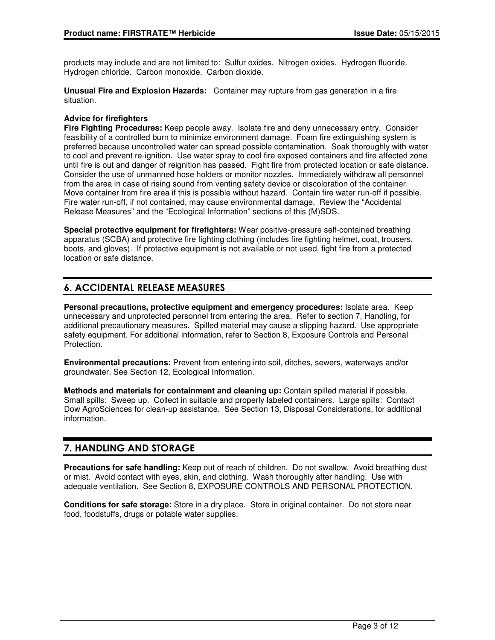products may include and are not limited to: Sulfur oxides. Nitrogen oxides. Hydrogen fluoride. Hydrogen chloride. Carbon monoxide. Carbon dioxide.

**Unusual Fire and Explosion Hazards:** Container may rupture from gas generation in a fire situation.

#### **Advice for firefighters**

**Fire Fighting Procedures:** Keep people away. Isolate fire and deny unnecessary entry. Consider feasibility of a controlled burn to minimize environment damage. Foam fire extinguishing system is preferred because uncontrolled water can spread possible contamination. Soak thoroughly with water to cool and prevent re-ignition. Use water spray to cool fire exposed containers and fire affected zone until fire is out and danger of reignition has passed. Fight fire from protected location or safe distance. Consider the use of unmanned hose holders or monitor nozzles. Immediately withdraw all personnel from the area in case of rising sound from venting safety device or discoloration of the container. Move container from fire area if this is possible without hazard. Contain fire water run-off if possible. Fire water run-off, if not contained, may cause environmental damage. Review the "Accidental Release Measures" and the "Ecological Information" sections of this (M)SDS.

**Special protective equipment for firefighters:** Wear positive-pressure self-contained breathing apparatus (SCBA) and protective fire fighting clothing (includes fire fighting helmet, coat, trousers, boots, and gloves). If protective equipment is not available or not used, fight fire from a protected location or safe distance.

# 6. ACCIDENTAL RELEASE MEASURES

**Personal precautions, protective equipment and emergency procedures:** Isolate area. Keep unnecessary and unprotected personnel from entering the area. Refer to section 7, Handling, for additional precautionary measures. Spilled material may cause a slipping hazard. Use appropriate safety equipment. For additional information, refer to Section 8, Exposure Controls and Personal Protection.

**Environmental precautions:** Prevent from entering into soil, ditches, sewers, waterways and/or groundwater. See Section 12, Ecological Information.

**Methods and materials for containment and cleaning up:** Contain spilled material if possible. Small spills: Sweep up. Collect in suitable and properly labeled containers. Large spills: Contact Dow AgroSciences for clean-up assistance. See Section 13, Disposal Considerations, for additional information.

# 7. HANDLING AND STORAGE

**Precautions for safe handling:** Keep out of reach of children. Do not swallow. Avoid breathing dust or mist. Avoid contact with eyes, skin, and clothing. Wash thoroughly after handling. Use with adequate ventilation. See Section 8, EXPOSURE CONTROLS AND PERSONAL PROTECTION.

**Conditions for safe storage:** Store in a dry place. Store in original container. Do not store near food, foodstuffs, drugs or potable water supplies.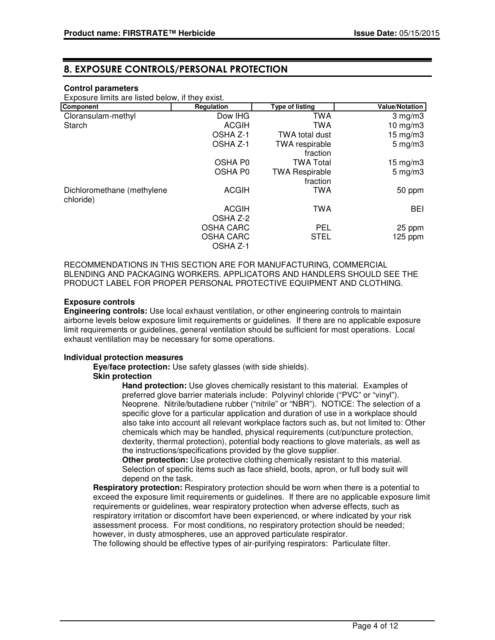### 8. EXPOSURE CONTROLS/PERSONAL PROTECTION

#### **Control parameters**

Exposure limits are listed below, if they exist.

| Component                               | Regulation       | <b>Type of listing</b> | <b>Value/Notation</b> |
|-----------------------------------------|------------------|------------------------|-----------------------|
| Cloransulam-methyl                      | Dow IHG          | TWA                    | $3$ mg/m $3$          |
| Starch                                  | <b>ACGIH</b>     | TWA                    | 10 mg/m $3$           |
|                                         | OSHA Z-1         | <b>TWA total dust</b>  | $15 \text{ mg/m}$     |
|                                         | OSHA Z-1         | <b>TWA</b> respirable  | $5 \text{ mg/m}$ 3    |
|                                         |                  | fraction               |                       |
|                                         | OSHA P0          | <b>TWA Total</b>       | $15 \text{ mg/m}$     |
|                                         | OSHA P0          | <b>TWA Respirable</b>  | $5 \text{ mg/m}$ 3    |
|                                         |                  | fraction               |                       |
| Dichloromethane (methylene<br>chloride) | <b>ACGIH</b>     | TWA                    | 50 ppm                |
|                                         | <b>ACGIH</b>     | TWA                    | BEI                   |
|                                         | OSHA Z-2         |                        |                       |
|                                         | <b>OSHA CARC</b> | <b>PEL</b>             | 25 ppm                |
|                                         | <b>OSHA CARC</b> | <b>STEL</b>            | $125$ ppm             |
|                                         | OSHA Z-1         |                        |                       |

RECOMMENDATIONS IN THIS SECTION ARE FOR MANUFACTURING, COMMERCIAL BLENDING AND PACKAGING WORKERS. APPLICATORS AND HANDLERS SHOULD SEE THE PRODUCT LABEL FOR PROPER PERSONAL PROTECTIVE EQUIPMENT AND CLOTHING.

#### **Exposure controls**

**Engineering controls:** Use local exhaust ventilation, or other engineering controls to maintain airborne levels below exposure limit requirements or guidelines. If there are no applicable exposure limit requirements or guidelines, general ventilation should be sufficient for most operations. Local exhaust ventilation may be necessary for some operations.

#### **Individual protection measures**

**Eye/face protection:** Use safety glasses (with side shields). **Skin protection**

> **Hand protection:** Use gloves chemically resistant to this material. Examples of preferred glove barrier materials include: Polyvinyl chloride ("PVC" or "vinyl"). Neoprene. Nitrile/butadiene rubber ("nitrile" or "NBR"). NOTICE: The selection of a specific glove for a particular application and duration of use in a workplace should also take into account all relevant workplace factors such as, but not limited to: Other chemicals which may be handled, physical requirements (cut/puncture protection, dexterity, thermal protection), potential body reactions to glove materials, as well as the instructions/specifications provided by the glove supplier.

**Other protection:** Use protective clothing chemically resistant to this material. Selection of specific items such as face shield, boots, apron, or full body suit will depend on the task.

**Respiratory protection:** Respiratory protection should be worn when there is a potential to exceed the exposure limit requirements or guidelines. If there are no applicable exposure limit requirements or guidelines, wear respiratory protection when adverse effects, such as respiratory irritation or discomfort have been experienced, or where indicated by your risk assessment process. For most conditions, no respiratory protection should be needed; however, in dusty atmospheres, use an approved particulate respirator.

The following should be effective types of air-purifying respirators: Particulate filter.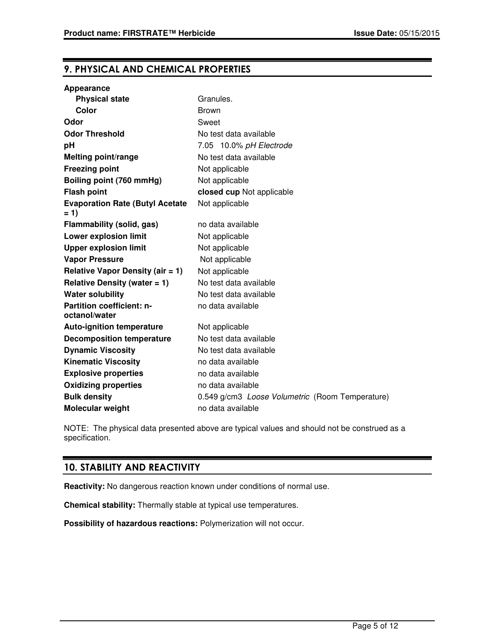# 9. PHYSICAL AND CHEMICAL PROPERTIES

| <b>Physical state</b>                           | Granules.                                       |
|-------------------------------------------------|-------------------------------------------------|
| Color                                           | <b>Brown</b>                                    |
| Odor                                            | Sweet                                           |
| <b>Odor Threshold</b>                           | No test data available                          |
| pH                                              | 7.05 10.0% pH Electrode                         |
| Melting point/range                             | No test data available                          |
| <b>Freezing point</b>                           | Not applicable                                  |
| Boiling point (760 mmHg)                        | Not applicable                                  |
| <b>Flash point</b>                              | closed cup Not applicable                       |
| <b>Evaporation Rate (Butyl Acetate</b><br>$= 1$ | Not applicable                                  |
| Flammability (solid, gas)                       | no data available                               |
| <b>Lower explosion limit</b>                    | Not applicable                                  |
| <b>Upper explosion limit</b>                    | Not applicable                                  |
| <b>Vapor Pressure</b>                           | Not applicable                                  |
| Relative Vapor Density (air $= 1$ )             | Not applicable                                  |
| Relative Density (water $= 1$ )                 | No test data available                          |
| <b>Water solubility</b>                         | No test data available                          |
| Partition coefficient: n-<br>octanol/water      | no data available                               |
| <b>Auto-ignition temperature</b>                | Not applicable                                  |
| <b>Decomposition temperature</b>                | No test data available                          |
| <b>Dynamic Viscosity</b>                        | No test data available                          |
| <b>Kinematic Viscosity</b>                      | no data available                               |
| <b>Explosive properties</b>                     | no data available                               |
| <b>Oxidizing properties</b>                     | no data available                               |
| <b>Bulk density</b>                             | 0.549 g/cm3 Loose Volumetric (Room Temperature) |
| Molecular weight                                | no data available                               |

NOTE: The physical data presented above are typical values and should not be construed as a specification.

# 10. STABILITY AND REACTIVITY

**Reactivity:** No dangerous reaction known under conditions of normal use.

**Chemical stability:** Thermally stable at typical use temperatures.

**Possibility of hazardous reactions:** Polymerization will not occur.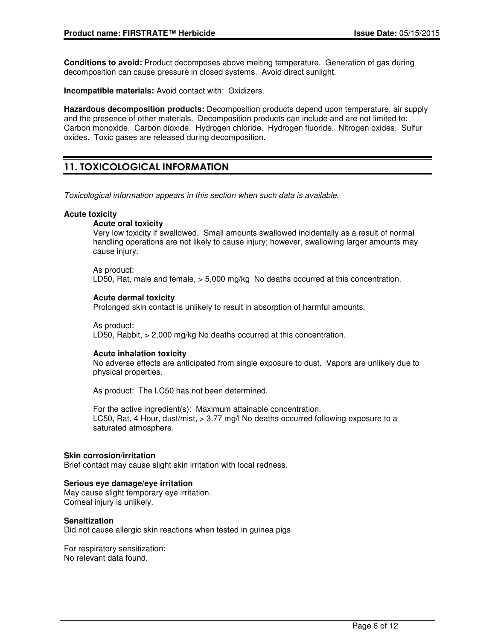**Conditions to avoid:** Product decomposes above melting temperature. Generation of gas during decomposition can cause pressure in closed systems. Avoid direct sunlight.

**Incompatible materials:** Avoid contact with: Oxidizers.

**Hazardous decomposition products:** Decomposition products depend upon temperature, air supply and the presence of other materials. Decomposition products can include and are not limited to: Carbon monoxide. Carbon dioxide. Hydrogen chloride. Hydrogen fluoride. Nitrogen oxides. Sulfur oxides. Toxic gases are released during decomposition.

# 11. TOXICOLOGICAL INFORMATION

Toxicological information appears in this section when such data is available.

#### **Acute toxicity**

#### **Acute oral toxicity**

Very low toxicity if swallowed. Small amounts swallowed incidentally as a result of normal handling operations are not likely to cause injury; however, swallowing larger amounts may cause injury.

As product: LD50, Rat, male and female, > 5,000 mg/kg No deaths occurred at this concentration.

#### **Acute dermal toxicity**

Prolonged skin contact is unlikely to result in absorption of harmful amounts.

As product: LD50, Rabbit, > 2,000 mg/kg No deaths occurred at this concentration.

#### **Acute inhalation toxicity**

No adverse effects are anticipated from single exposure to dust. Vapors are unlikely due to physical properties.

As product: The LC50 has not been determined.

For the active ingredient(s): Maximum attainable concentration. LC50, Rat, 4 Hour, dust/mist, > 3.77 mg/l No deaths occurred following exposure to a saturated atmosphere.

#### **Skin corrosion/irritation**

Brief contact may cause slight skin irritation with local redness.

#### **Serious eye damage/eye irritation**

May cause slight temporary eye irritation. Corneal injury is unlikely.

#### **Sensitization**

Did not cause allergic skin reactions when tested in guinea pigs.

For respiratory sensitization: No relevant data found.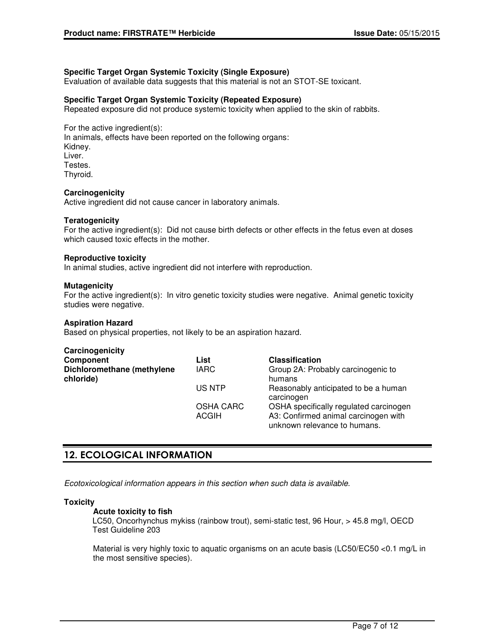### **Specific Target Organ Systemic Toxicity (Single Exposure)**

Evaluation of available data suggests that this material is not an STOT-SE toxicant.

#### **Specific Target Organ Systemic Toxicity (Repeated Exposure)**

Repeated exposure did not produce systemic toxicity when applied to the skin of rabbits.

For the active ingredient(s): In animals, effects have been reported on the following organs: Kidney. Liver. Testes. Thyroid.

#### **Carcinogenicity**

Active ingredient did not cause cancer in laboratory animals.

#### **Teratogenicity**

For the active ingredient(s): Did not cause birth defects or other effects in the fetus even at doses which caused toxic effects in the mother.

#### **Reproductive toxicity**

In animal studies, active ingredient did not interfere with reproduction.

#### **Mutagenicity**

For the active ingredient(s): In vitro genetic toxicity studies were negative. Animal genetic toxicity studies were negative.

#### **Aspiration Hazard**

Based on physical properties, not likely to be an aspiration hazard.

| Carcinogenicity                         |                                  |                                                                                                                |
|-----------------------------------------|----------------------------------|----------------------------------------------------------------------------------------------------------------|
| Component                               | List                             | <b>Classification</b>                                                                                          |
| Dichloromethane (methylene<br>chloride) | <b>IARC</b>                      | Group 2A: Probably carcinogenic to<br>humans                                                                   |
|                                         | US NTP                           | Reasonably anticipated to be a human<br>carcinogen                                                             |
|                                         | <b>OSHA CARC</b><br><b>ACGIH</b> | OSHA specifically regulated carcinogen<br>A3: Confirmed animal carcinogen with<br>unknown relevance to humans. |

## 12. ECOLOGICAL INFORMATION

Ecotoxicological information appears in this section when such data is available.

#### **Toxicity**

#### **Acute toxicity to fish**

LC50, Oncorhynchus mykiss (rainbow trout), semi-static test, 96 Hour, > 45.8 mg/l, OECD Test Guideline 203

Material is very highly toxic to aquatic organisms on an acute basis (LC50/EC50 <0.1 mg/L in the most sensitive species).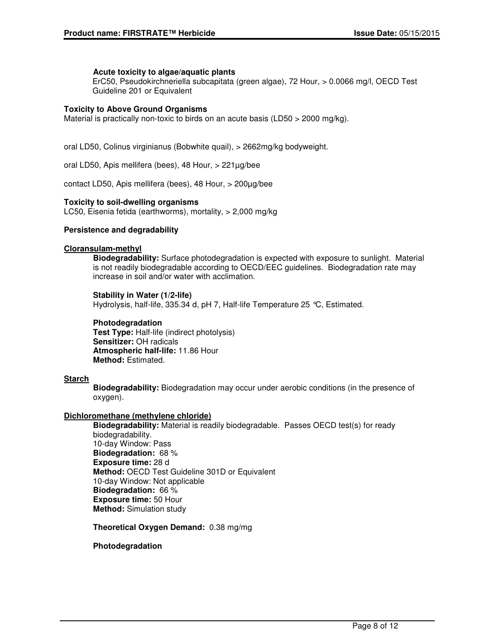#### **Acute toxicity to algae/aquatic plants**

ErC50, Pseudokirchneriella subcapitata (green algae), 72 Hour, > 0.0066 mg/l, OECD Test Guideline 201 or Equivalent

#### **Toxicity to Above Ground Organisms**

Material is practically non-toxic to birds on an acute basis (LD50 > 2000 mg/kg).

oral LD50, Colinus virginianus (Bobwhite quail), > 2662mg/kg bodyweight.

oral LD50, Apis mellifera (bees), 48 Hour, > 221µg/bee

contact LD50, Apis mellifera (bees), 48 Hour, > 200µg/bee

#### **Toxicity to soil-dwelling organisms**

LC50, Eisenia fetida (earthworms), mortality, > 2,000 mg/kg

#### **Persistence and degradability**

#### **Cloransulam-methyl**

**Biodegradability:** Surface photodegradation is expected with exposure to sunlight. Material is not readily biodegradable according to OECD/EEC guidelines. Biodegradation rate may increase in soil and/or water with acclimation.

**Stability in Water (1/2-life)** Hydrolysis, half-life, 335.34 d, pH 7, Half-life Temperature 25 °C, Estimated.

#### **Photodegradation**

**Test Type:** Half-life (indirect photolysis) **Sensitizer:** OH radicals **Atmospheric half-life:** 11.86 Hour **Method:** Estimated.

#### **Starch**

**Biodegradability:** Biodegradation may occur under aerobic conditions (in the presence of oxygen).

#### **Dichloromethane (methylene chloride)**

**Biodegradability:** Material is readily biodegradable. Passes OECD test(s) for ready biodegradability. 10-day Window: Pass **Biodegradation:** 68 % **Exposure time:** 28 d **Method:** OECD Test Guideline 301D or Equivalent 10-day Window: Not applicable **Biodegradation:** 66 % **Exposure time:** 50 Hour **Method:** Simulation study

**Theoretical Oxygen Demand:** 0.38 mg/mg

#### **Photodegradation**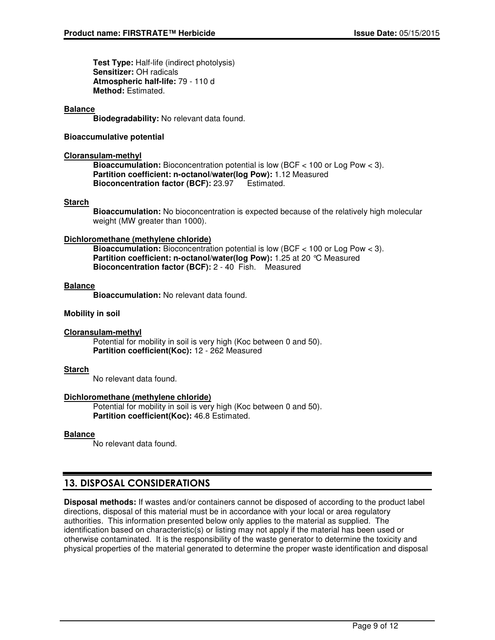**Test Type:** Half-life (indirect photolysis) **Sensitizer:** OH radicals **Atmospheric half-life:** 79 - 110 d **Method:** Estimated.

#### **Balance**

**Biodegradability:** No relevant data found.

#### **Bioaccumulative potential**

#### **Cloransulam-methyl**

**Bioaccumulation:** Bioconcentration potential is low (BCF < 100 or Log Pow < 3). **Partition coefficient: n-octanol/water(log Pow):** 1.12 Measured **Bioconcentration factor (BCF):** 23.97 Estimated.

#### **Starch**

**Bioaccumulation:** No bioconcentration is expected because of the relatively high molecular weight (MW greater than 1000).

#### **Dichloromethane (methylene chloride)**

**Bioaccumulation:** Bioconcentration potential is low (BCF < 100 or Log Pow < 3). **Partition coefficient: n-octanol/water(log Pow):** 1.25 at 20 °C Measured **Bioconcentration factor (BCF):** 2 - 40 Fish. Measured

#### **Balance**

**Bioaccumulation:** No relevant data found.

#### **Mobility in soil**

#### **Cloransulam-methyl**

Potential for mobility in soil is very high (Koc between 0 and 50). **Partition coefficient(Koc):** 12 - 262 Measured

#### **Starch**

No relevant data found.

#### **Dichloromethane (methylene chloride)**

Potential for mobility in soil is very high (Koc between 0 and 50). **Partition coefficient(Koc):** 46.8 Estimated.

#### **Balance**

No relevant data found.

# 13. DISPOSAL CONSIDERATIONS

**Disposal methods:** If wastes and/or containers cannot be disposed of according to the product label directions, disposal of this material must be in accordance with your local or area regulatory authorities. This information presented below only applies to the material as supplied. The identification based on characteristic(s) or listing may not apply if the material has been used or otherwise contaminated. It is the responsibility of the waste generator to determine the toxicity and physical properties of the material generated to determine the proper waste identification and disposal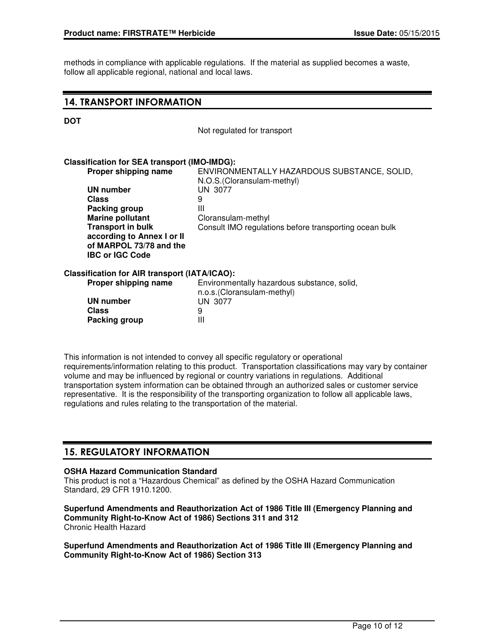methods in compliance with applicable regulations. If the material as supplied becomes a waste, follow all applicable regional, national and local laws.

### 14. TRANSPORT INFORMATION

#### **DOT**

Not regulated for transport

#### **Classification for SEA transport (IMO-IMDG):**

| Proper shipping name                          | ENVIRONMENTALLY HAZARDOUS SUBSTANCE, SOLID,<br>N.O.S. (Cloransulam-methyl) |
|-----------------------------------------------|----------------------------------------------------------------------------|
|                                               |                                                                            |
| UN number                                     | UN 3077                                                                    |
| Class                                         | 9                                                                          |
| Packing group                                 | Ш                                                                          |
| <b>Marine pollutant</b>                       | Cloransulam-methyl                                                         |
| <b>Transport in bulk</b>                      | Consult IMO regulations before transporting ocean bulk                     |
| according to Annex I or II                    |                                                                            |
| of MARPOL 73/78 and the                       |                                                                            |
| <b>IBC or IGC Code</b>                        |                                                                            |
| Classification for AIR transport (IATA/ICAO): |                                                                            |
| Proper shipping name                          | Environmentally hazardous substance, solid,                                |

# n.o.s.(Cloransulam-methyl) **UN number** UN 3077<br>Class 9 **Class** 9<br>**Packing group** 11 **Packing group**

This information is not intended to convey all specific regulatory or operational requirements/information relating to this product. Transportation classifications may vary by container volume and may be influenced by regional or country variations in regulations. Additional transportation system information can be obtained through an authorized sales or customer service representative. It is the responsibility of the transporting organization to follow all applicable laws, regulations and rules relating to the transportation of the material.

### 15. REGULATORY INFORMATION

#### **OSHA Hazard Communication Standard**

This product is not a "Hazardous Chemical" as defined by the OSHA Hazard Communication Standard, 29 CFR 1910.1200.

#### **Superfund Amendments and Reauthorization Act of 1986 Title III (Emergency Planning and Community Right-to-Know Act of 1986) Sections 311 and 312** Chronic Health Hazard

**Superfund Amendments and Reauthorization Act of 1986 Title III (Emergency Planning and Community Right-to-Know Act of 1986) Section 313**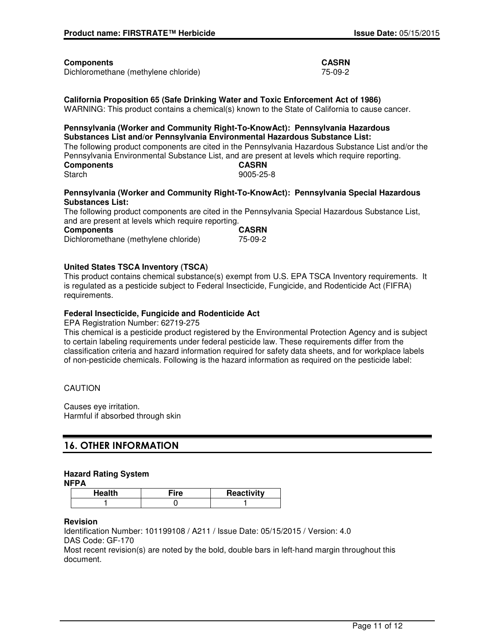#### **Components CASRN**

Dichloromethane (methylene chloride) 75-09-2

**California Proposition 65 (Safe Drinking Water and Toxic Enforcement Act of 1986)** WARNING: This product contains a chemical(s) known to the State of California to cause cancer.

#### **Pennsylvania (Worker and Community Right-To-KnowAct): Pennsylvania Hazardous Substances List and/or Pennsylvania Environmental Hazardous Substance List:** The following product components are cited in the Pennsylvania Hazardous Substance List and/or the Pennsylvania Environmental Substance List, and are present at levels which require reporting. **Components CASRN** Starch 9005-25-8

#### **Pennsylvania (Worker and Community Right-To-KnowAct): Pennsylvania Special Hazardous Substances List:**

The following product components are cited in the Pennsylvania Special Hazardous Substance List, and are present at levels which require reporting.

| Components                           | <b>CASRN</b> |
|--------------------------------------|--------------|
| Dichloromethane (methylene chloride) | 75-09-2      |

#### **United States TSCA Inventory (TSCA)**

This product contains chemical substance(s) exempt from U.S. EPA TSCA Inventory requirements. It is regulated as a pesticide subject to Federal Insecticide, Fungicide, and Rodenticide Act (FIFRA) requirements.

#### **Federal Insecticide, Fungicide and Rodenticide Act**

EPA Registration Number: 62719-275

This chemical is a pesticide product registered by the Environmental Protection Agency and is subject to certain labeling requirements under federal pesticide law. These requirements differ from the classification criteria and hazard information required for safety data sheets, and for workplace labels of non-pesticide chemicals. Following is the hazard information as required on the pesticide label:

#### CAUTION

Causes eye irritation. Harmful if absorbed through skin

## 16. OTHER INFORMATION

#### **Hazard Rating System**

**NFPA**

| Health | ≂ire | Reactivity |
|--------|------|------------|
|        |      |            |

#### **Revision**

Identification Number: 101199108 / A211 / Issue Date: 05/15/2015 / Version: 4.0 DAS Code: GF-170

Most recent revision(s) are noted by the bold, double bars in left-hand margin throughout this document.